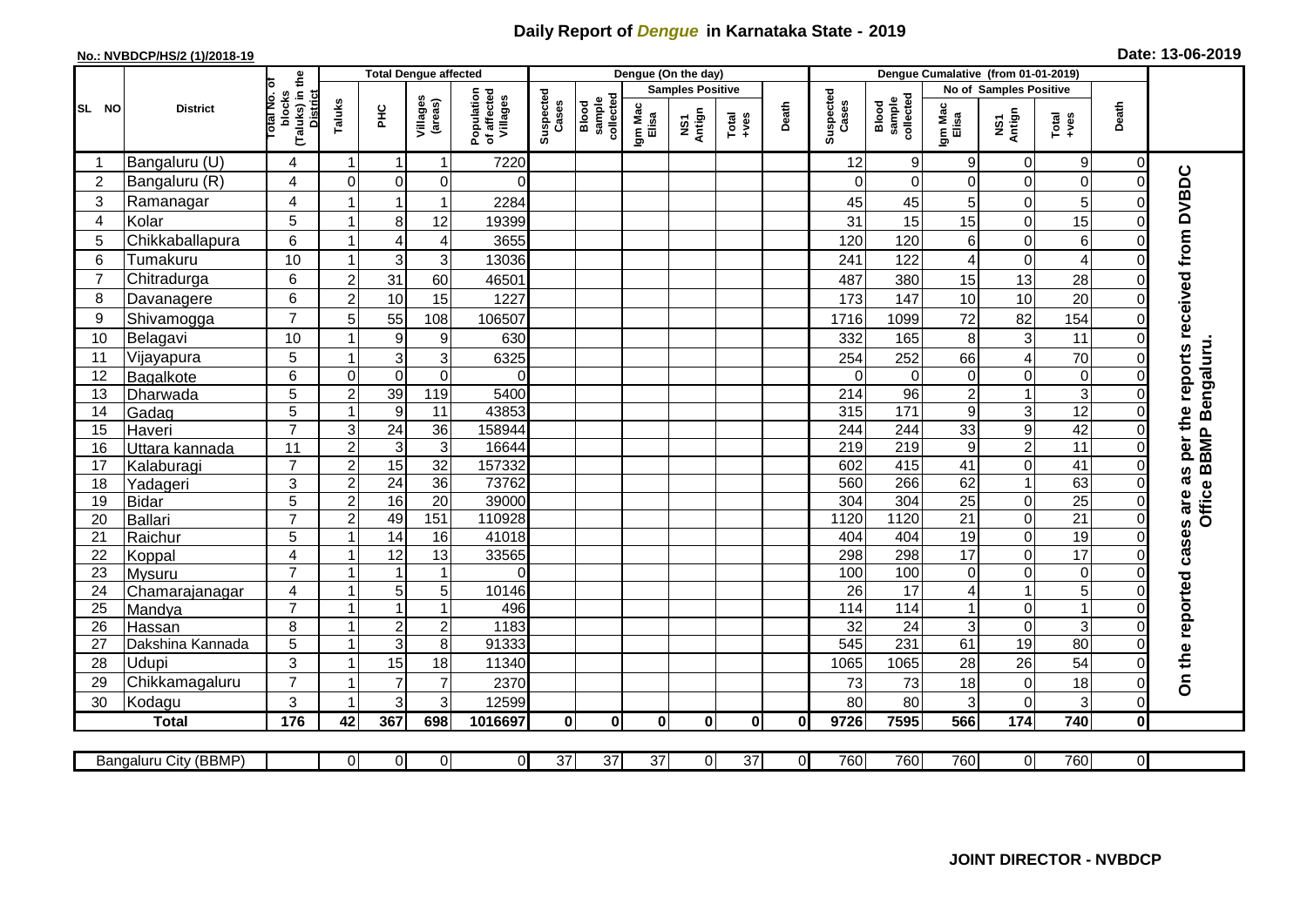## **Daily Report of** *Dengue* **in Karnataka State - 2019**

## **No.: NVBDCP/HS/2 (1)/2018-19 Date: 13-06-2019**

|                |                            |                                                      |                           | <b>Total Dengue affected</b>       |                               |                                       |                    |                              |                         | Dengue (On the day) |                  |                |                        |                              |                  |                                     |                         |                                 |                                     |
|----------------|----------------------------|------------------------------------------------------|---------------------------|------------------------------------|-------------------------------|---------------------------------------|--------------------|------------------------------|-------------------------|---------------------|------------------|----------------|------------------------|------------------------------|------------------|-------------------------------------|-------------------------|---------------------------------|-------------------------------------|
| SL NO          | <b>District</b>            |                                                      |                           |                                    |                               |                                       |                    |                              | <b>Samples Positive</b> |                     |                  |                |                        | No of Samples Positive       |                  |                                     |                         |                                 |                                     |
|                |                            | (Taluks) in the<br>District<br>otal No. ol<br>blocks | Taluks                    | нc                                 | Villages<br>(areas)           | Population<br>of affected<br>Villages | Suspected<br>Cases | Blood<br>sample<br>collected | Igm Mac<br>Elisa        | NS1<br>Antign       | Total<br>$+ve$ s | Death          | Suspected<br>Cases     | collected<br>sample<br>Blood | Igm Mac<br>Elisa | NS1<br>Antign                       | Total<br>$+ve$ s        | Death                           |                                     |
|                | Bangaluru (U)              | 4                                                    | $\blacktriangleleft$      | -1                                 | $\mathbf{1}$                  | 7220                                  |                    |                              |                         |                     |                  |                | 12                     | 9                            | 9                | 0                                   | $9\,$                   | 0                               |                                     |
| $\overline{2}$ | Bangaluru (R)              | 4                                                    | $\Omega$                  | $\mathbf 0$                        | 0                             | $\Omega$                              |                    |                              |                         |                     |                  |                | $\Omega$               | $\Omega$                     | $\Omega$         | 0                                   | $\mathbf 0$             | $\Omega$                        |                                     |
| 3              | Ramanagar                  | 4                                                    |                           | $\overline{1}$                     | $\mathbf{1}$                  | 2284                                  |                    |                              |                         |                     |                  |                | 45                     | 45                           | 5                | 0                                   | 5                       | $\mathcal{C}$                   | per the reports received from DVBDC |
| $\overline{4}$ | Kolar                      | 5                                                    | 1                         | 8                                  | 12                            | 19399                                 |                    |                              |                         |                     |                  |                | 31                     | 15                           | 15               | 0                                   | 15                      | $\mathbf 0$                     |                                     |
| 5              | Chikkaballapura            | 6                                                    |                           | $\overline{4}$                     | 4                             | 3655                                  |                    |                              |                         |                     |                  |                | 120                    | 120                          | 6                | 0                                   | 6                       | 0                               |                                     |
| 6              | Tumakuru                   | 10                                                   |                           | 3                                  | $\sqrt{3}$                    | 13036                                 |                    |                              |                         |                     |                  |                | 241                    | 122                          | 4                | $\boldsymbol{0}$                    | $\overline{\mathbf{4}}$ | $\mathbf 0$                     |                                     |
| 7              | Chitradurga                | 6                                                    | $\overline{2}$            | 31                                 | 60                            | 46501                                 |                    |                              |                         |                     |                  |                | 487                    | 380                          | 15               | 13                                  | 28                      | $\mathbf 0$                     |                                     |
| 8              | Davanagere                 | 6                                                    | $\overline{2}$            | 10                                 | 15                            | 1227                                  |                    |                              |                         |                     |                  |                | 173                    | 147                          | 10               | 10                                  | 20                      | $\mathbf 0$                     |                                     |
| 9              | Shivamogga                 | $\overline{7}$                                       | 5                         | 55                                 | 108                           | 106507                                |                    |                              |                         |                     |                  |                | 1716                   | 1099                         | 72               | 82                                  | 154                     | $\Omega$                        |                                     |
| 10             | Belagavi                   | 10                                                   |                           | $\boldsymbol{9}$                   | $\boldsymbol{9}$              | 630                                   |                    |                              |                         |                     |                  |                | 332                    | 165                          | 8                | $\mathbf{3}$                        | 11                      | $\Omega$                        |                                     |
| 11             | Vijayapura                 | 5                                                    |                           | $\mathsf 3$                        | $\mathbf{3}$                  | 6325                                  |                    |                              |                         |                     |                  |                | 254                    | 252                          | 66               | 4                                   | 70                      | $\Omega$                        | Bengaluru.                          |
| 12             | Bagalkote                  | 6                                                    | $\mathbf 0$               | $\mathbf 0$                        | $\pmb{0}$                     | $\Omega$                              |                    |                              |                         |                     |                  |                | $\Omega$               | $\mathbf 0$                  | 0                | 0                                   | $\mathbf 0$             | $\mathbf 0$                     |                                     |
| 13             | Dharwada                   | 5                                                    | $\overline{c}$            | 39                                 | 119                           | 5400                                  |                    |                              |                         |                     |                  |                | 214                    | $\overline{96}$              | $\boldsymbol{2}$ | $\mathbf{1}$                        | $\overline{3}$          | $\Omega$                        |                                     |
| 14             | Gadag                      | $\overline{5}$                                       | -1                        | $\overline{9}$                     | $\overline{11}$               | 43853                                 |                    |                              |                         |                     |                  |                | 315                    | $\overline{171}$             | 9                | 3                                   | 12                      | $\mathbf 0$                     |                                     |
| 15             | Haveri                     | $\overline{7}$                                       | $\ensuremath{\mathsf{3}}$ | $\overline{24}$                    | 36                            | 158944                                |                    |                              |                         |                     |                  |                | 244                    | 244                          | 33               | 9                                   | 42                      | $\Omega$                        |                                     |
| 16             | Uttara kannada             | 11                                                   | $\overline{2}$            | 3                                  | $\overline{3}$                | 16644                                 |                    |                              |                         |                     |                  |                | 219                    | 219                          | 9                | $\overline{2}$                      | $\overline{11}$         | $\Omega$                        | BBMP <sub>I</sub>                   |
| 17             | Kalaburagi                 | $\overline{7}$                                       | $\overline{c}$            | 15                                 | $\overline{32}$               | 157332                                |                    |                              |                         |                     |                  |                | 602                    | 415                          | 41               | 0                                   | $\overline{41}$         | $\mathbf 0$                     |                                     |
| 18             | Yadageri                   | 3                                                    | $\overline{c}$            | 24                                 | 36                            | 73762                                 |                    |                              |                         |                     |                  |                | 560                    | 266                          | 62               | $\mathbf{1}$                        | 63                      | $\Omega$                        | Office                              |
| 19             | <b>Bidar</b>               | 5                                                    | $\boldsymbol{2}$          | 16                                 | $\overline{20}$               | 39000                                 |                    |                              |                         |                     |                  |                | 304                    | 304                          | 25               | 0                                   | $\overline{25}$         | $\mathbf 0$                     |                                     |
| 20             | Ballari                    | $\overline{7}$                                       | $\overline{2}$            | 49                                 | 151                           | 110928                                |                    |                              |                         |                     |                  |                | 1120                   | 1120                         | 21               | 0                                   | 21                      | $\mathbf 0$                     |                                     |
| 21             | Raichur                    | 5                                                    |                           | $\overline{14}$                    | 16                            | 41018                                 |                    |                              |                         |                     |                  |                | 404                    | 404                          | 19               | 0                                   | $\overline{19}$         | $\mathbf 0$                     |                                     |
| 22             | Koppal                     | 4                                                    |                           | $\overline{12}$                    | $\overline{13}$               | 33565                                 |                    |                              |                         |                     |                  |                | 298                    | 298                          | 17               | 0                                   | 17                      | $\overline{0}$                  |                                     |
| 23             | <b>Mysuru</b>              | $\overline{7}$                                       |                           | $\overline{1}$                     | $\mathbf{1}$                  | $\Omega$                              |                    |                              |                         |                     |                  |                | 100                    | 100                          | 0                | 0                                   | $\overline{0}$          | $\mathbf 0$                     |                                     |
| 24             | Chamarajanagar             | 4<br>$\overline{7}$                                  | $\mathbf{1}$              | $\mathbf 5$<br>$\overline{1}$      | $\mathbf 5$<br>$\overline{1}$ | 10146                                 |                    |                              |                         |                     |                  |                | $\overline{26}$        | 17                           | 4                | $\mathbf{1}$                        | 5                       | $\mathbf 0$                     |                                     |
| 25             | Mandya                     |                                                      | $\overline{1}$            |                                    |                               | 496<br>1183                           |                    |                              |                         |                     |                  |                | 114                    | $\frac{114}{114}$            |                  | 0                                   | $\overline{1}$          | $\boldsymbol{0}$<br>$\mathbf 0$ |                                     |
| 26<br>27       | Hassan<br>Dakshina Kannada | 8<br>5                                               | $\overline{1}$            | $\boldsymbol{2}$<br>$\overline{3}$ | $\boldsymbol{2}$<br>8         | 91333                                 |                    |                              |                         |                     |                  |                | 32<br>$\overline{545}$ | 24<br>231                    | 3<br>61          | $\boldsymbol{0}$<br>$\overline{19}$ | 3<br>80                 | $\overline{0}$                  |                                     |
| 28             | Udupi                      | 3                                                    |                           | 15                                 | 18                            | 11340                                 |                    |                              |                         |                     |                  |                | 1065                   | 1065                         | 28               | 26                                  | 54                      | $\Omega$                        |                                     |
| 29             | Chikkamagaluru             | $\overline{7}$                                       |                           | $\overline{7}$                     | $\overline{7}$                | 2370                                  |                    |                              |                         |                     |                  |                | 73                     | 73                           | 18               | 0                                   | 18                      | $\Omega$                        | On the reported cases are as        |
| 30             | Kodagu                     | 3                                                    |                           | 3                                  | 3                             | 12599                                 |                    |                              |                         |                     |                  |                | 80                     | 80                           | 3                | 0                                   | 3                       | $\mathbf 0$                     |                                     |
|                | <b>Total</b>               | 176                                                  | 42                        | 367                                | 698                           | 1016697                               | $\mathbf{0}$       | $\mathbf{0}$                 | $\mathbf{0}$            | $\bf{0}$            | $\mathbf{0}$     | <sup>0</sup>   | 9726                   | 7595                         | 566              | 174                                 | 740                     | $\mathbf 0$                     |                                     |
|                |                            |                                                      |                           |                                    |                               |                                       |                    |                              |                         |                     |                  |                |                        |                              |                  |                                     |                         |                                 |                                     |
|                | Bangaluru City (BBMP)      |                                                      | $\Omega$                  | $\overline{0}$                     | $\overline{0}$                | $\overline{0}$                        | $\overline{37}$    | $\overline{37}$              | $\overline{37}$         | $\overline{0}$      | $\overline{37}$  | $\overline{0}$ | 760                    | 760                          | 760              | 0                                   | 760                     | $\overline{0}$                  |                                     |